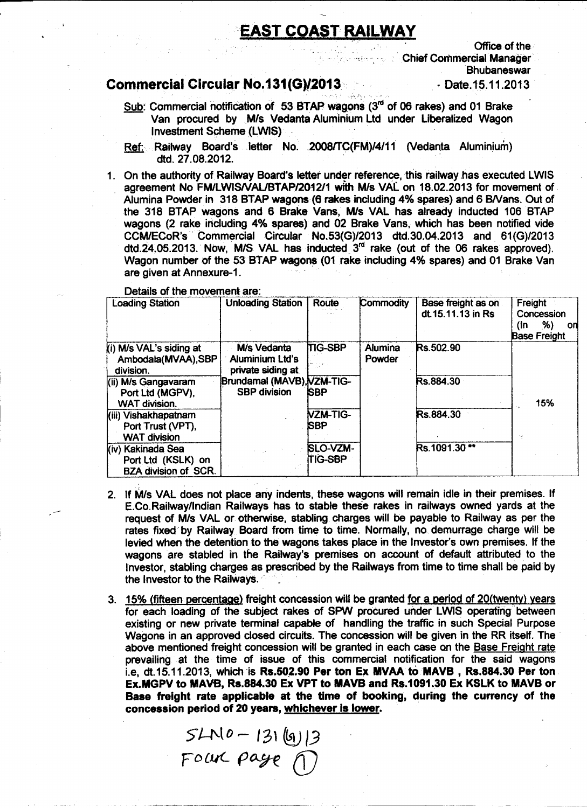## EAST COAST RAILWAY

 $\frac{1}{2}$ 

Office of the Chief Commercial Manager **Bhubaneswar** 

#### • Date.15.11.2013

### Commercial Circular No.131 (G)/2013

- Sub: Commercial notification of 53 BTAP wagons  $(3<sup>rd</sup>$  of 06 rakes) and 01 Brake Van procured by Mis Vedanta Aluminium Ltd under Liberalized Wagon Investment Scheme (LWIS)
- Ref: Railway Board's letter No. 2008/TC(FM)/4/11 (Vedanta Aluminium) dtd. 27.08.2012.
- 1. On the authority of Railway Board's letter under reference, this railway has executed LWIS agreement No FM/LWIS/VAL/BTAP/2012/1 with M/s VAL on 18.02.2013 for movement of Alumina Powder in 318 BTAP wagons (6 rakes including 4% spares) and 6 BNans. Out of the 318 BTAP wagons and 6 Brake Vans, M/s VAL has already inducted 106 BTAP wagons (2 rake including 4% spares) and 02 Brake Vans, which has been notified vide CCM/ECoR's· Commercial Circular *No.53(G)/2013* dtd.30.04.2013 and *61(G)/2013* dtd.24.05.2013. Now, M/S VAL has inducted  $3<sup>rd</sup>$  rake (out of the 06 rakes approved). Wagon number of the 53 BTAP wagons (01 rake including 4% spares) and 01 Brake Van are given at Annexure-1.

Details of the movement are:

| <b>Loading Station</b>                                                 | <b>Unloading Station</b>                                   | Route                             | Commodity                | Base freight as on<br>dt. 15.11.13 in Rs | Freight<br>Concession<br>%)<br>(In<br>on<br><b>Base Freight</b> |
|------------------------------------------------------------------------|------------------------------------------------------------|-----------------------------------|--------------------------|------------------------------------------|-----------------------------------------------------------------|
| (i) M/s VAL's siding at<br>Ambodala(MVAA), SBP<br>division.            | M/s Vedanta<br><b>Aluminium Ltd's</b><br>private siding at | <b>TIG-SBP</b>                    | <b>Alumina</b><br>Powder | Rs.502.90                                |                                                                 |
| (ii) M/s Gangavaram<br>Port Ltd (MGPV),<br><b>WAT division.</b>        | Brundamal (MAVB), VZM-TIG-<br><b>SBP division</b>          | <b>SBP</b>                        |                          | Rs.884.30                                | 15%                                                             |
| (iii) Vishakhapatnam<br>Port Trust (VPT),<br><b>WAT division</b>       |                                                            | VZM-TIG-<br><b>SBP</b>            |                          | Rs.884.30                                |                                                                 |
| (iv) Kakinada Sea<br>Port Ltd (KSLK) on<br><b>BZA division of SCR.</b> |                                                            | <b>SLO-VZM-</b><br><b>TIG-SBP</b> |                          | Rs.1091.30**                             |                                                                 |

- 2. If Mis VAL does not place any indents, these wagons will remain idle in their premises. If E.Co.Railway/Indian Railways has to stable these rakes in railways owned yards at the request of Mis VAL or otherwise, stabling charges will be payable to Railway as per the rates fixed by Railway Board from time to time. Normally, no demurrage charge will be levied when the detention to the wagons takes place in the Investor's own premises. If the wagons are stabled in the Railway's premises on account of default attributed to the Investor, stabling charges as prescribed by the Railways from time to time shall be paid by the Investor to the Railways.
- 3. 15% (fifteen percentage) freight concession will be granted for a period of 20(twenty) years for each loading of the subject rakes of SPW procured under LWIS operating between existing or new private terminal capable of handling the traffic in such Special Purpose Wagons in an approved closed circuits. The concession will be given in the RR itself. The above mentioned freight concession will be granted in each case on the Base Freight rate prevailing at the time of issue of this commercial notification for the said wagons i.e. dt.15.11.2013, which is  $Rs.502.90$  Per ton Ex MVAA to MAVB,  $Rs.884.30$  Per ton Ex.MGPV to MAYS, Rs.884.30 Ex VPT to MAVB and R\$.1091.30 Ex KSLK to MAVB or Base freight rate applicable at the time of booking, during the currency of the concession period of 20 years, whichever is lower.

 $SAN 0 - 131 (9)/3$ FOLUC page 1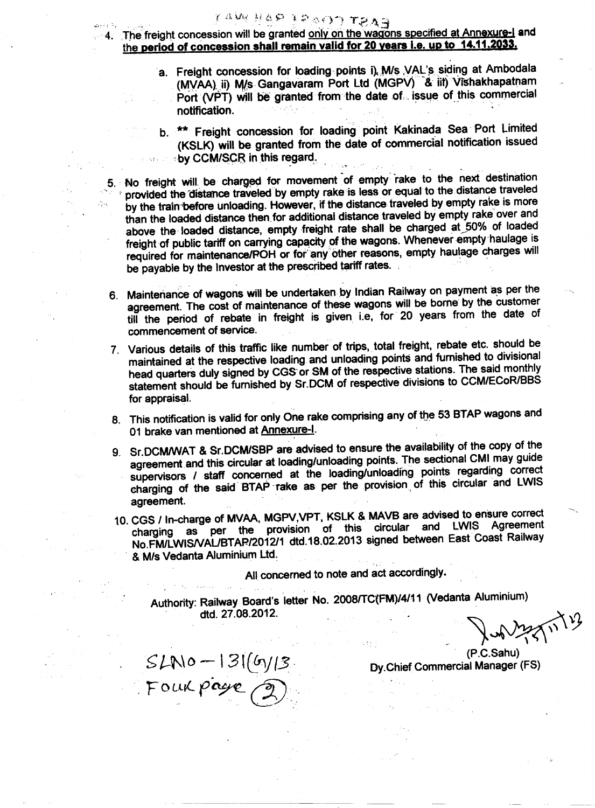### 4. The freight concession will be granted only on the wagons specified at Annexure-I and the period of concession shall remain valid for 20 years i.e. up to 14.11.2033.

- a. Freight concession for loading points i) M/s VAL's siding at Ambodala<br>(MVAA) ii) M/s Gangavaram Port Ltd (MGPV) & iit) Vishakhapatnam (VAA) ii) MVS Gangavaram Port Ltd (MGPV) -& lit) vishakhapatha  $\overline{\text{opt}}$  (VPT) will be granted from the date of issue of this commercial notification.
- b. \*\* Freight concession for loading point Kakinada Sea Port Limited (KSLK) will be granted from the date of commercial notification issued by CCM/SCR in this regard.

5. No freight will be charged for movement of empty rake to the next destination provided the distance traveled by empty rake is less or equal to the distance traveled by the train before unloading. However, if the distance traveled by empty rake is more than the loaded distance then for additional distance traveled by empty rake over and above the loaded distance, empty freight rate shall be charged at 50% of loaded freight of public tariff on carrying capacity of the wagons. Whenever empty haulage is required for maintenance/POH or for any other reasons, empty haulage charges will be payable by the Investor at the prescribed tariff rates.

- 6. MaintenanCe of wagons will be undertaken by Indian Railway on payment as per the agreement. The cost of maintenance of these wagons will be bome' by the customer till the period of rebate in freight is given i.e, for 20 years from the date of commencement of service.
- 7. Various details of this traffic like number of trips. total freight. rebate etc. should be maintained at the respective loading and unloading points and fumished to divisional head quarters duly signed by CGS or SM of the respective stations. The said monthly statement should be furnished by Sr.DCM of respective divisions to CCM/ECoR/BBS for appraisal.
- 8. This notification is valid for only One rake comprising any of the 53 BTAP wagons and 01 brake van mentioned at Annexure-I.
- 9. Sr.DCM/WAT & Sr.DCM/SBP are advised to ensure the availability of the copy of the agreement and this circular at loading/unloading points. The sectional CMI may guide supervisors / staff concerned at the loading/unloadihg points regarding correct charging of the said  $BTAP$  rake as per the provision of this circular and LWIS aaraament
- 10. CGS / In-charge of MVAA, MGPV,VPT, KSLK & MAVB are advised to ensure correct charging as per the provision of this circular and LWIS Agreement NO.FM/LWISNAUBTARI201211 dtd.18.02.2013 signed between East Coast Railway . & *MIs* Vedanta Aluminium Ud.

All concerned to note and act accordingly.

Authority: Railway Board's letter No. 2008/TC'(FM)/4/11 (Vedanta Aluminium) dtd. 27.08.2012.

P.C.Sahu)

 $SLN$ o -  $|3|$ ( $6\gamma$ / $|3$  **Dy.Chief Commercial Manager** (F.  $\gamma$ Four page,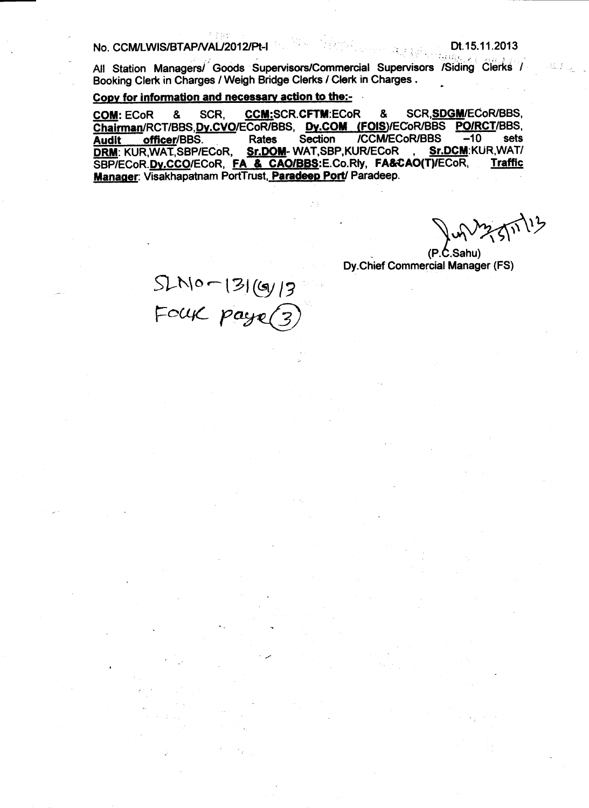No. CCM/LWIS/BTAP/VAL/2012/Pt-I

úan<sub>iki</sub> All Station Managers/ Goods Supervisors/Commercial Supervisors /Siding Clerks / Booking Clerk in Charges / Weigh Bridge Clerks / Clerk in Charges.

#### Copy for information and necessary action to the:-

**CCM:SCR.CFTM:ECoR** SCR, SDGM/ECoR/BBS, **COM: ECoR** & SCR. & Chairman/RCT/BBS.Dy.CVO/ECoR/BBS. Dy.COM (FOIS)/ECoR/BBS PO/RCT/BBS. Section **ICCM/ECoR/BBS**  $-10$ sets officer/BBS. **Rates Audit** Sr.DOM-WAT,SBP,KUR/ECoR **DRM: KUR, WAT, SBP/ECoR,** Sr.DCM:KUR, WAT/ SBP/ECoR.Dv.CCO/ECoR. FA & CAO/BBS:E.Co.Rly, FA&CAO(T)/ECoR, **Traffic** Manager: Visakhapatnam PortTrust, Paradeep Port/ Paradeep.

m 11113

 $(P.C.Sahu)$ Dy.Chief Commercial Manager (FS)

 $SLM0 - |3| (gy|3)$